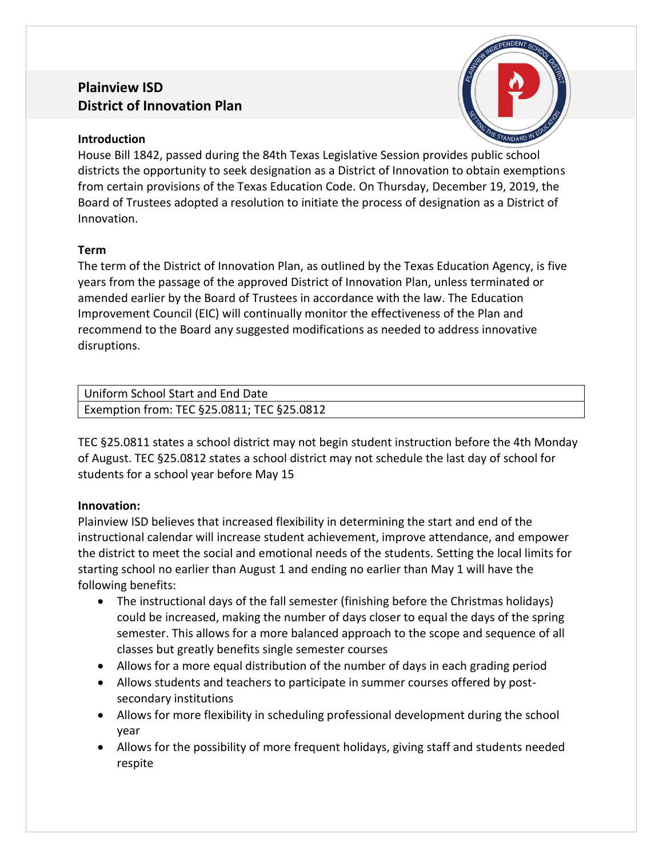# **Plainview ISD District of Innovation Plan**



### **Introduction**

House Bill 1842, passed during the 84th Texas Legislative Session provides public school districts the opportunity to seek designation as a District of Innovation to obtain exemptions from certain provisions of the Texas Education Code. On Thursday, December 19, 2019, the Board of Trustees adopted a resolution to initiate the process of designation as a District of Innovation.

### **Term**

The term of the District of Innovation Plan, as outlined by the Texas Education Agency, is five years from the passage of the approved District of Innovation Plan, unless terminated or amended earlier by the Board of Trustees in accordance with the law. The Education Improvement Council (EIC) will continually monitor the effectiveness of the Plan and recommend to the Board any suggested modifications as needed to address innovative disruptions.

| Uniform School Start and End Date          |  |
|--------------------------------------------|--|
| Exemption from: TEC §25.0811; TEC §25.0812 |  |

TEC §25.0811 states a school district may not begin student instruction before the 4th Monday of August. TEC §25.0812 states a school district may not schedule the last day of school for students for a school year before May 15

### **Innovation:**

Plainview ISD believes that increased flexibility in determining the start and end of the instructional calendar will increase student achievement, improve attendance, and empower the district to meet the social and emotional needs of the students. Setting the local limits for starting school no earlier than August 1 and ending no earlier than May 1 will have the following benefits:

- The instructional days of the fall semester (finishing before the Christmas holidays) could be increased, making the number of days closer to equal the days of the spring semester. This allows for a more balanced approach to the scope and sequence of all classes but greatly benefits single semester courses
- Allows for a more equal distribution of the number of days in each grading period
- Allows students and teachers to participate in summer courses offered by postsecondary institutions
- Allows for more flexibility in scheduling professional development during the school year
- Allows for the possibility of more frequent holidays, giving staff and students needed respite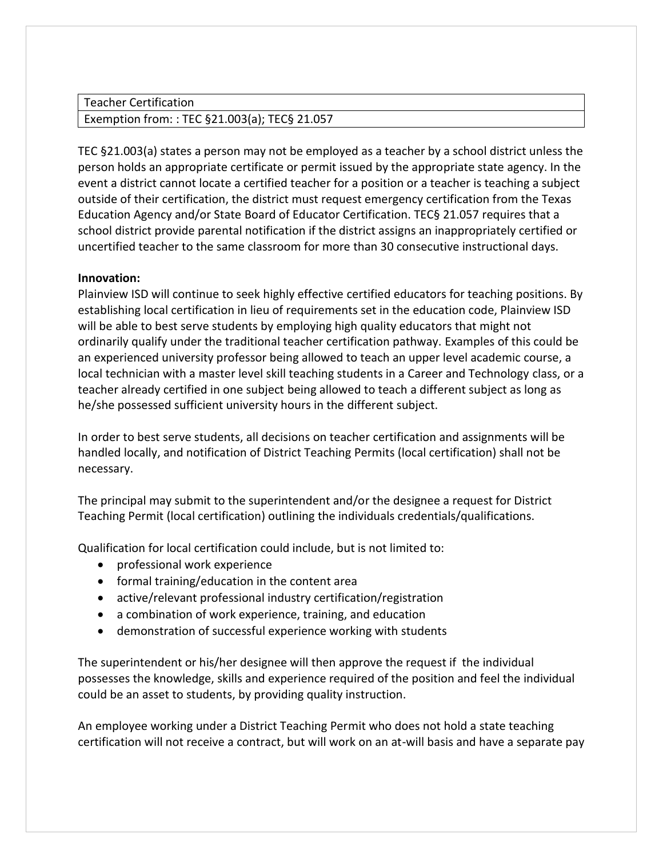Teacher Certification

### Exemption from: : TEC §21.003(a); TEC§ 21.057

TEC §21.003(a) states a person may not be employed as a teacher by a school district unless the person holds an appropriate certificate or permit issued by the appropriate state agency. In the event a district cannot locate a certified teacher for a position or a teacher is teaching a subject outside of their certification, the district must request emergency certification from the Texas Education Agency and/or State Board of Educator Certification. TEC§ 21.057 requires that a school district provide parental notification if the district assigns an inappropriately certified or uncertified teacher to the same classroom for more than 30 consecutive instructional days.

#### **Innovation:**

Plainview ISD will continue to seek highly effective certified educators for teaching positions. By establishing local certification in lieu of requirements set in the education code, Plainview ISD will be able to best serve students by employing high quality educators that might not ordinarily qualify under the traditional teacher certification pathway. Examples of this could be an experienced university professor being allowed to teach an upper level academic course, a local technician with a master level skill teaching students in a Career and Technology class, or a teacher already certified in one subject being allowed to teach a different subject as long as he/she possessed sufficient university hours in the different subject.

In order to best serve students, all decisions on teacher certification and assignments will be handled locally, and notification of District Teaching Permits (local certification) shall not be necessary.

The principal may submit to the superintendent and/or the designee a request for District Teaching Permit (local certification) outlining the individuals credentials/qualifications.

Qualification for local certification could include, but is not limited to:

- professional work experience
- formal training/education in the content area
- active/relevant professional industry certification/registration
- a combination of work experience, training, and education
- demonstration of successful experience working with students

The superintendent or his/her designee will then approve the request if the individual possesses the knowledge, skills and experience required of the position and feel the individual could be an asset to students, by providing quality instruction.

An employee working under a District Teaching Permit who does not hold a state teaching certification will not receive a contract, but will work on an at-will basis and have a separate pay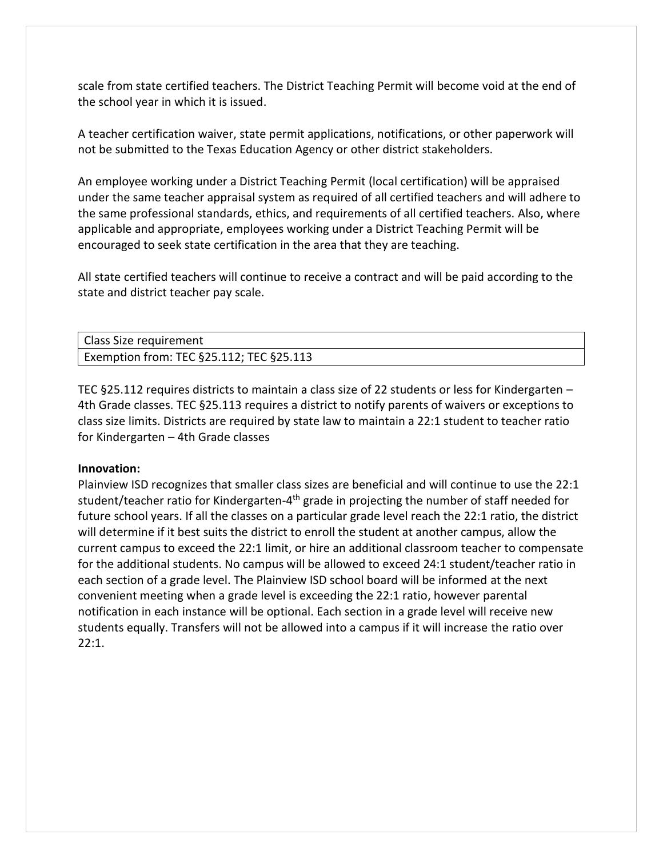scale from state certified teachers. The District Teaching Permit will become void at the end of the school year in which it is issued.

A teacher certification waiver, state permit applications, notifications, or other paperwork will not be submitted to the Texas Education Agency or other district stakeholders.

An employee working under a District Teaching Permit (local certification) will be appraised under the same teacher appraisal system as required of all certified teachers and will adhere to the same professional standards, ethics, and requirements of all certified teachers. Also, where applicable and appropriate, employees working under a District Teaching Permit will be encouraged to seek state certification in the area that they are teaching.

All state certified teachers will continue to receive a contract and will be paid according to the state and district teacher pay scale.

| <b>Class Size requirement</b>                 |  |
|-----------------------------------------------|--|
| Exemption from: TEC $§25.112$ ; TEC $§25.113$ |  |

TEC §25.112 requires districts to maintain a class size of 22 students or less for Kindergarten – 4th Grade classes. TEC §25.113 requires a district to notify parents of waivers or exceptions to class size limits. Districts are required by state law to maintain a 22:1 student to teacher ratio for Kindergarten – 4th Grade classes

#### **Innovation:**

Plainview ISD recognizes that smaller class sizes are beneficial and will continue to use the 22:1 student/teacher ratio for Kindergarten-4<sup>th</sup> grade in projecting the number of staff needed for future school years. If all the classes on a particular grade level reach the 22:1 ratio, the district will determine if it best suits the district to enroll the student at another campus, allow the current campus to exceed the 22:1 limit, or hire an additional classroom teacher to compensate for the additional students. No campus will be allowed to exceed 24:1 student/teacher ratio in each section of a grade level. The Plainview ISD school board will be informed at the next convenient meeting when a grade level is exceeding the 22:1 ratio, however parental notification in each instance will be optional. Each section in a grade level will receive new students equally. Transfers will not be allowed into a campus if it will increase the ratio over 22:1.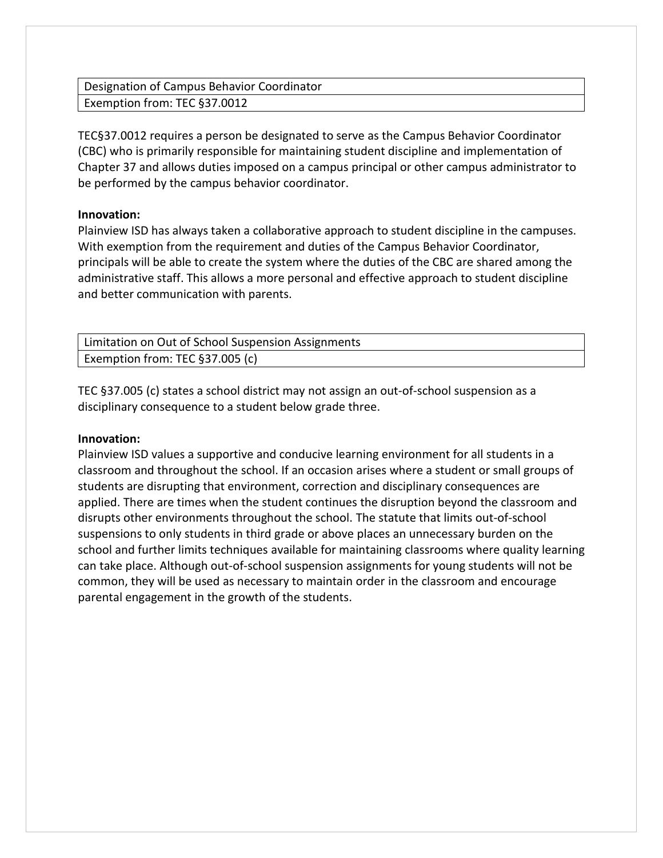Designation of Campus Behavior Coordinator Exemption from: TEC §37.0012

TEC§37.0012 requires a person be designated to serve as the Campus Behavior Coordinator (CBC) who is primarily responsible for maintaining student discipline and implementation of Chapter 37 and allows duties imposed on a campus principal or other campus administrator to be performed by the campus behavior coordinator.

#### **Innovation:**

Plainview ISD has always taken a collaborative approach to student discipline in the campuses. With exemption from the requirement and duties of the Campus Behavior Coordinator, principals will be able to create the system where the duties of the CBC are shared among the administrative staff. This allows a more personal and effective approach to student discipline and better communication with parents.

| Limitation on Out of School Suspension Assignments |
|----------------------------------------------------|
| Exemption from: TEC §37.005 (c)                    |

TEC §37.005 (c) states a school district may not assign an out-of-school suspension as a disciplinary consequence to a student below grade three.

### **Innovation:**

Plainview ISD values a supportive and conducive learning environment for all students in a classroom and throughout the school. If an occasion arises where a student or small groups of students are disrupting that environment, correction and disciplinary consequences are applied. There are times when the student continues the disruption beyond the classroom and disrupts other environments throughout the school. The statute that limits out-of-school suspensions to only students in third grade or above places an unnecessary burden on the school and further limits techniques available for maintaining classrooms where quality learning can take place. Although out-of-school suspension assignments for young students will not be common, they will be used as necessary to maintain order in the classroom and encourage parental engagement in the growth of the students.